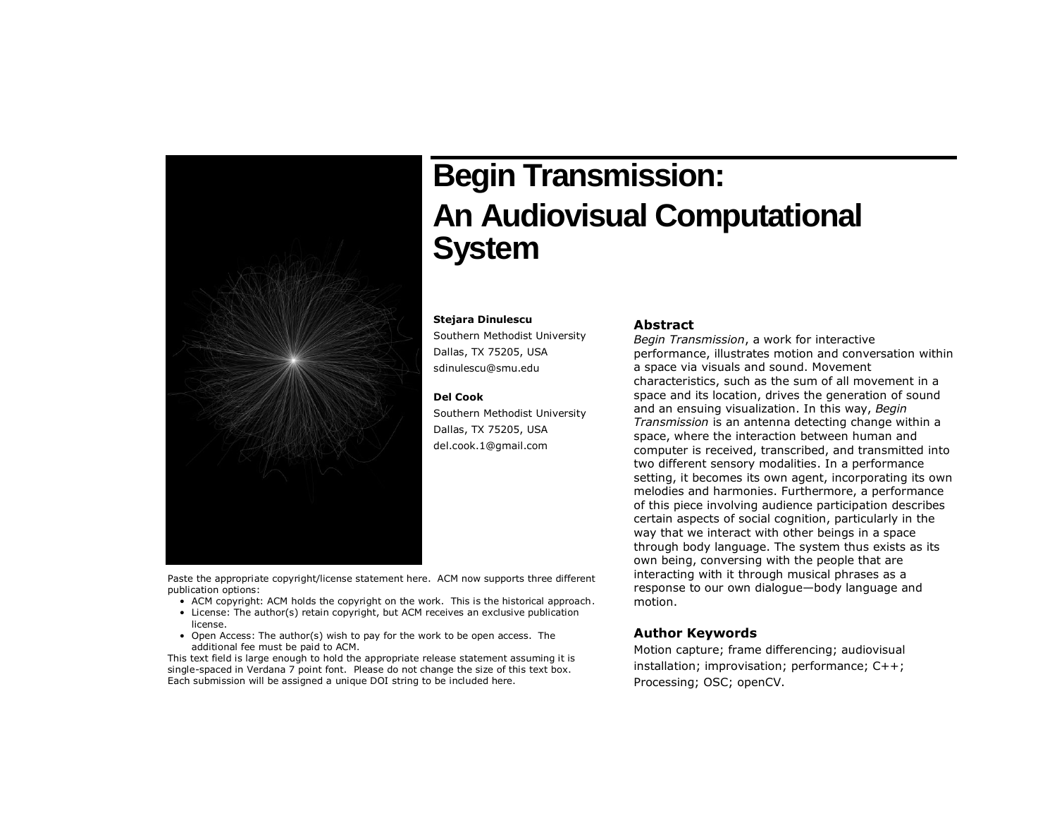

# **Begin Transmission: An Audiovisual Computational System**

#### **Stejara Dinulescu**

Southern Methodist University Dallas, TX 75205, USA sdinulescu@smu.edu

#### **Del Cook**

Southern Methodist University Dallas, TX 75205, USA del.cook.1@gmail.com

#### **Abstract**

*Begin Transmission*, a work for interactive performance, illustrates motion and conversation within a space via visuals and sound. Movement characteristics, such as the sum of all movement in a space and its location, drives the generation of sound and an ensuing visualization. In this way, *Begin Transmission* is an antenna detecting change within a space, where the interaction between human and computer is received, transcribed, and transmitted into two different sensory modalities. In a performance setting, it becomes its own agent, incorporating its own melodies and harmonies. Furthermore, a performance of this piece involving audience participation describes certain aspects of social cognition, particularly in the way that we interact with other beings in a space through body language. The system thus exists as its own being, conversing with the people that are interacting with it through musical phrases as a response to our own dialogue—body language and motion.

Paste the appropriate copyright/license statement here. ACM now supports three different publication options:

- ACM copyright: ACM holds the copyright on the work. This is the historical approach.
- License: The author(s) retain copyright, but ACM receives an exclusive publication license.
- Open Access: The author(s) wish to pay for the work to be open access. The additional fee must be paid to ACM.

This text field is large enough to hold the appropriate release statement assuming it is single-spaced in Verdana 7 point font. Please do not change the size of this text box. Each submission will be assigned a unique DOI string to be included here.

# **Author Keywords**

Motion capture; frame differencing; audiovisual installation; improvisation; performance; C++; Processing; OSC; openCV.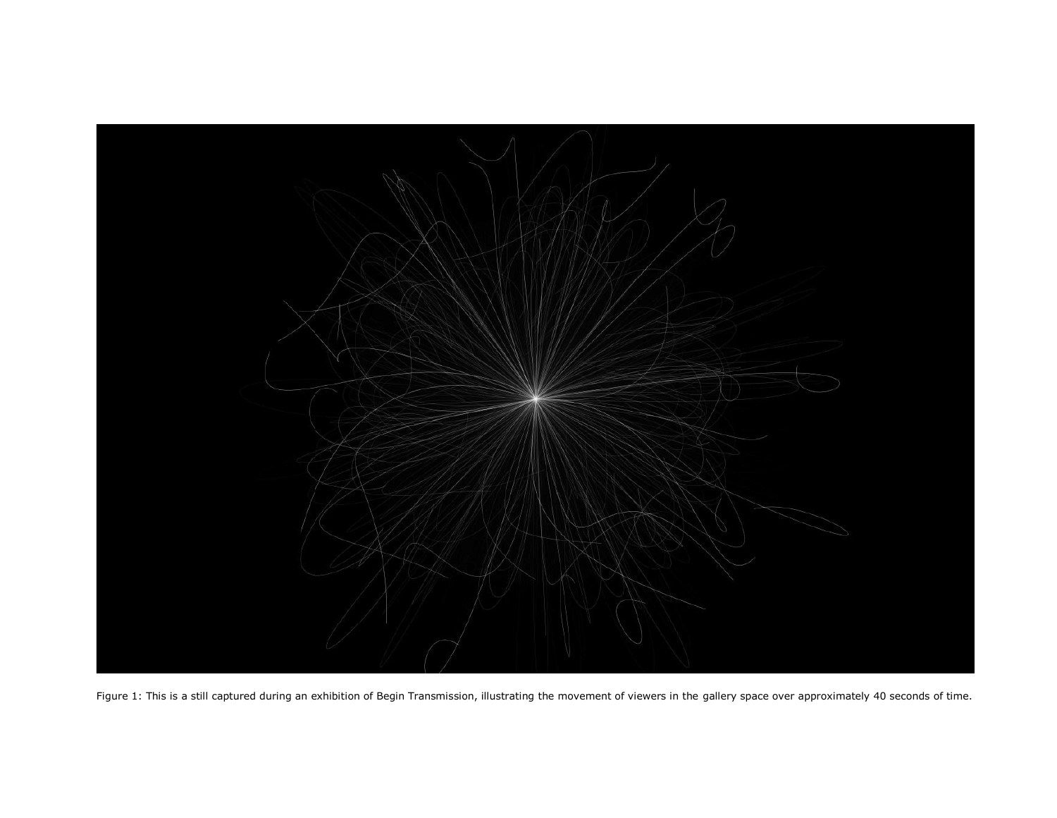

Figure 1: This is a still captured during an exhibition of Begin Transmission, illustrating the movement of viewers in the gallery space over approximately 40 seconds of time.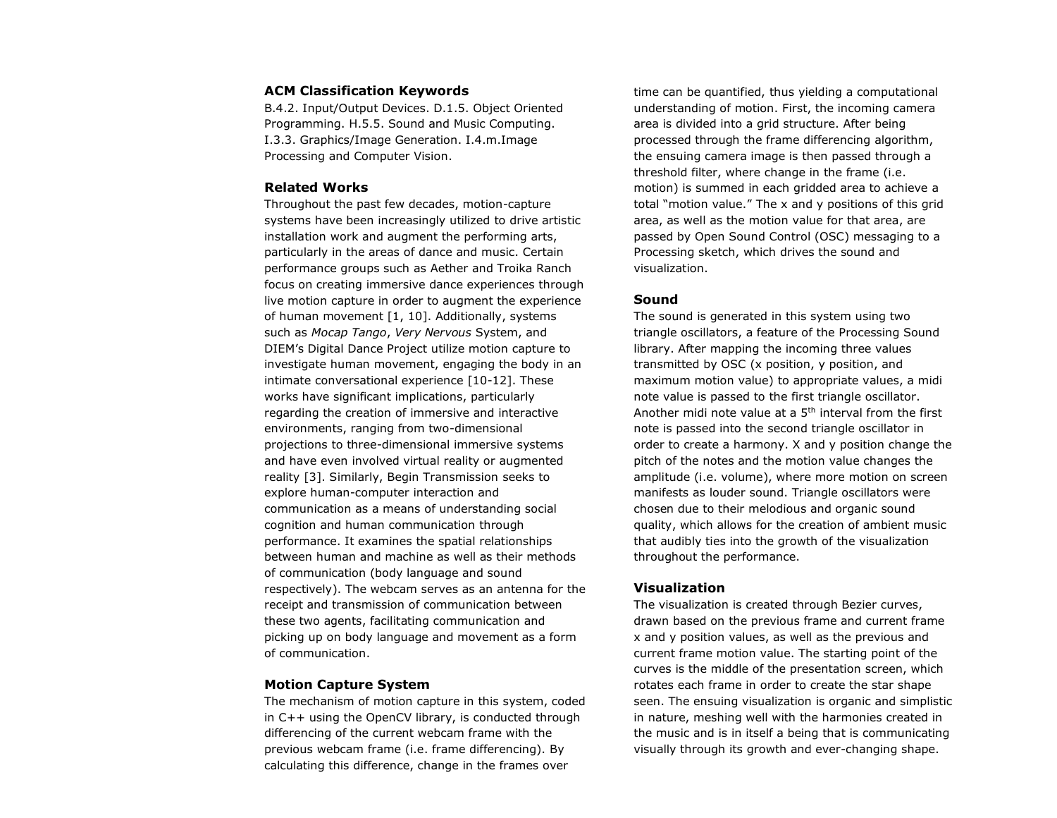# **ACM Classification Keywords**

B.4.2. Input/Output Devices. D.1.5. Object Oriented Programming. H.5.5. Sound and Music Computing. I.3.3. Graphics/Image Generation. I.4.m.Image Processing and Computer Vision.

# **Related Works**

Throughout the past few decades, motion-capture systems have been increasingly utilized to drive artistic installation work and augment the performing arts, particularly in the areas of dance and music. Certain performance groups such as Aether and Troika Ranch focus on creating immersive dance experiences through live motion capture in order to augment the experience of human movement [1, 10]. Additionally, systems such as *Mocap Tango*, *Very Nervous* System, and DIEM's Digital Dance Project utilize motion capture to investigate human movement, engaging the body in an intimate conversational experience [10-12]. These works have significant implications, particularly regarding the creation of immersive and interactive environments, ranging from two-dimensional projections to three-dimensional immersive systems and have even involved virtual reality or augmented reality [3]. Similarly, Begin Transmission seeks to explore human-computer interaction and communication as a means of understanding social cognition and human communication through performance. It examines the spatial relationships between human and machine as well as their methods of communication (body language and sound respectively). The webcam serves as an antenna for the receipt and transmission of communication between these two agents, facilitating communication and picking up on body language and movement as a form of communication.

#### **Motion Capture System**

The mechanism of motion capture in this system, coded in C++ using the OpenCV library, is conducted through differencing of the current webcam frame with the previous webcam frame (i.e. frame differencing). By calculating this difference, change in the frames over

time can be quantified, thus yielding a computational understanding of motion. First, the incoming camera area is divided into a grid structure. After being processed through the frame differencing algorithm, the ensuing camera image is then passed through a threshold filter, where change in the frame (i.e. motion) is summed in each gridded area to achieve a total "motion value." The x and y positions of this grid area, as well as the motion value for that area, are passed by Open Sound Control (OSC) messaging to a Processing sketch, which drives the sound and visualization.

### **Sound**

The sound is generated in this system using two triangle oscillators, a feature of the Processing Sound library. After mapping the incoming three values transmitted by OSC (x position, y position, and maximum motion value) to appropriate values, a midi note value is passed to the first triangle oscillator. Another midi note value at a  $5<sup>th</sup>$  interval from the first note is passed into the second triangle oscillator in order to create a harmony. X and y position change the pitch of the notes and the motion value changes the amplitude (i.e. volume), where more motion on screen manifests as louder sound. Triangle oscillators were chosen due to their melodious and organic sound quality, which allows for the creation of ambient music that audibly ties into the growth of the visualization throughout the performance.

## **Visualization**

The visualization is created through Bezier curves, drawn based on the previous frame and current frame x and y position values, as well as the previous and current frame motion value. The starting point of the curves is the middle of the presentation screen, which rotates each frame in order to create the star shape seen. The ensuing visualization is organic and simplistic in nature, meshing well with the harmonies created in the music and is in itself a being that is communicating visually through its growth and ever-changing shape.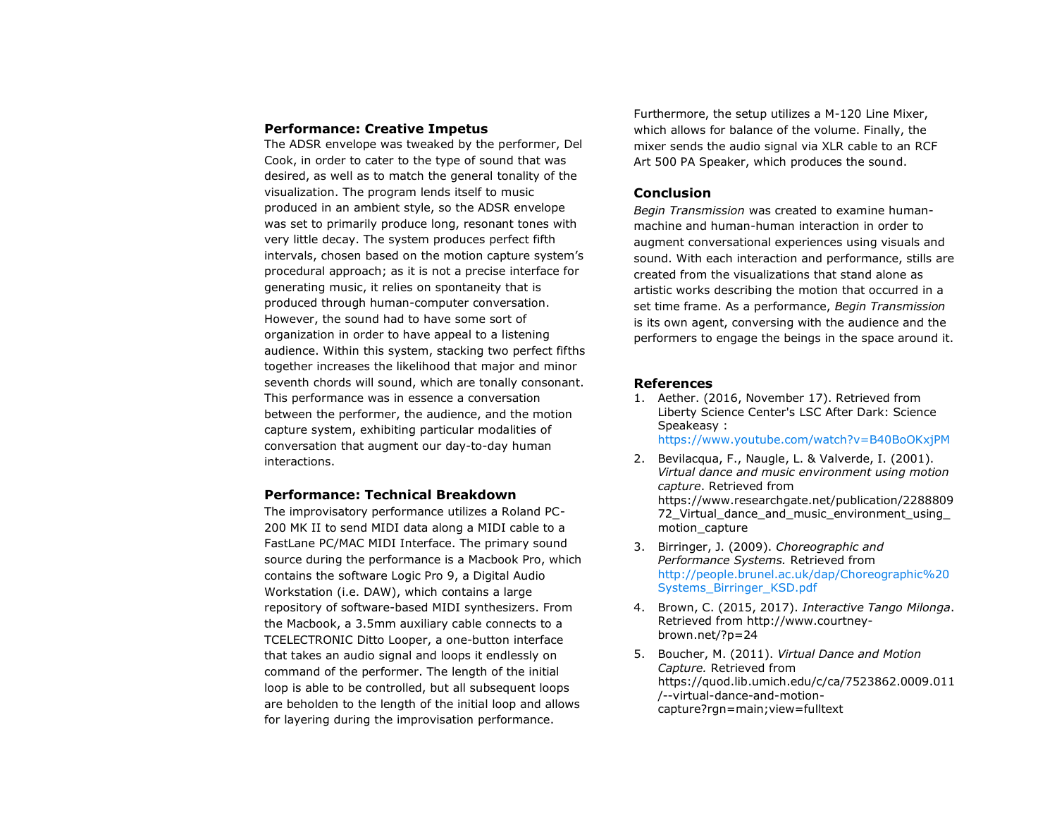#### **Performance: Creative Impetus**

The ADSR envelope was tweaked by the performer, Del Cook, in order to cater to the type of sound that was desired, as well as to match the general tonality of the visualization. The program lends itself to music produced in an ambient style, so the ADSR envelope was set to primarily produce long, resonant tones with very little decay. The system produces perfect fifth intervals, chosen based on the motion capture system's procedural approach; as it is not a precise interface for generating music, it relies on spontaneity that is produced through human-computer conversation. However, the sound had to have some sort of organization in order to have appeal to a listening audience. Within this system, stacking two perfect fifths together increases the likelihood that major and minor seventh chords will sound, which are tonally consonant. This performance was in essence a conversation between the performer, the audience, and the motion capture system, exhibiting particular modalities of conversation that augment our day-to-day human interactions.

# **Performance: Technical Breakdown**

The improvisatory performance utilizes a Roland PC-200 MK II to send MIDI data along a MIDI cable to a FastLane PC/MAC MIDI Interface. The primary sound source during the performance is a Macbook Pro, which contains the software Logic Pro 9, a Digital Audio Workstation (i.e. DAW), which contains a large repository of software-based MIDI synthesizers. From the Macbook, a 3.5mm auxiliary cable connects to a TCELECTRONIC Ditto Looper, a one-button interface that takes an audio signal and loops it endlessly on command of the performer. The length of the initial loop is able to be controlled, but all subsequent loops are beholden to the length of the initial loop and allows for layering during the improvisation performance.

Furthermore, the setup utilizes a M-120 Line Mixer, which allows for balance of the volume. Finally, the mixer sends the audio signal via XLR cable to an RCF Art 500 PA Speaker, which produces the sound.

# **Conclusion**

*Begin Transmission* was created to examine humanmachine and human-human interaction in order to augment conversational experiences using visuals and sound. With each interaction and performance, stills are created from the visualizations that stand alone as artistic works describing the motion that occurred in a set time frame. As a performance, *Begin Transmission* is its own agent, conversing with the audience and the performers to engage the beings in the space around it.

#### **References**

- 1. Aether. (2016, November 17). Retrieved from Liberty Science Center's LSC After Dark: Science Speakeasy : <https://www.youtube.com/watch?v=B40BoOKxjPM>
- 2. Bevilacqua, F., Naugle, L. & Valverde, I. (2001). *Virtual dance and music environment using motion capture*. Retrieved from https://www.researchgate.net/publication/2288809 72 Virtual dance and music environment using motion\_capture
- 3. Birringer, J. (2009). *Choreographic and Performance Systems.* Retrieved from [http://people.brunel.ac.uk/dap/Choreographic%20](http://people.brunel.ac.uk/dap/Choreographic%20Systems_Birringer_KSD.pdf) [Systems\\_Birringer\\_KSD.pdf](http://people.brunel.ac.uk/dap/Choreographic%20Systems_Birringer_KSD.pdf)
- 4. Brown, C. (2015, 2017). *Interactive Tango Milonga*. Retrieved from http://www.courtneybrown.net/?p=24
- 5. Boucher, M. (2011). *Virtual Dance and Motion Capture.* Retrieved from https://quod.lib.umich.edu/c/ca/7523862.0009.011 /--virtual-dance-and-motioncapture?rgn=main;view=fulltext